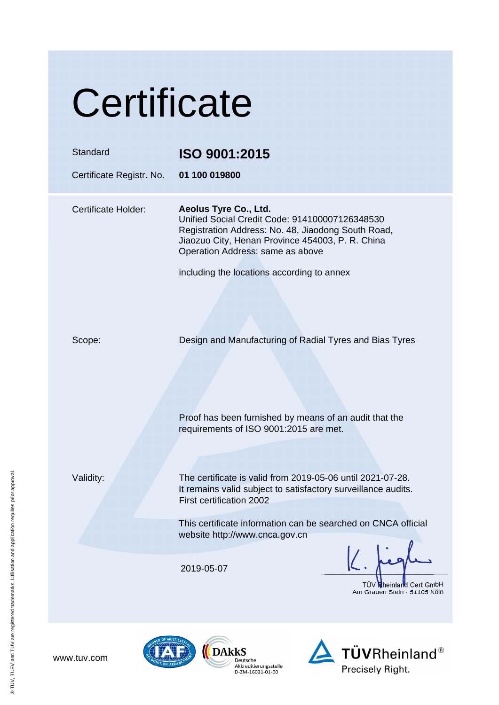| Certificate                          |                                                                                                                                                                                                                                                                     |  |
|--------------------------------------|---------------------------------------------------------------------------------------------------------------------------------------------------------------------------------------------------------------------------------------------------------------------|--|
| Standard<br>Certificate Registr. No. | ISO 9001:2015<br>01 100 019800                                                                                                                                                                                                                                      |  |
| Certificate Holder:                  | Aeolus Tyre Co., Ltd.<br>Unified Social Credit Code: 914100007126348530<br>Registration Address: No. 48, Jiaodong South Road,<br>Jiaozuo City, Henan Province 454003, P. R. China<br>Operation Address: same as above<br>including the locations according to annex |  |
| Scope:                               | Design and Manufacturing of Radial Tyres and Bias Tyres<br>Proof has been furnished by means of an audit that the<br>requirements of ISO 9001:2015 are met.                                                                                                         |  |
| Validity:                            | The certificate is valid from 2019-05-06 until 2021-07-28.<br>It remains valid subject to satisfactory surveillance audits.<br>First certification 2002                                                                                                             |  |
|                                      | This certificate information can be searched on CNCA official<br>website http://www.cnca.gov.cn                                                                                                                                                                     |  |
|                                      | 2019-05-07<br><b>TUV Rheinland Cert GmbH</b><br>Am Grauen Stein · 51105 Köln                                                                                                                                                                                        |  |

www.tuv.com

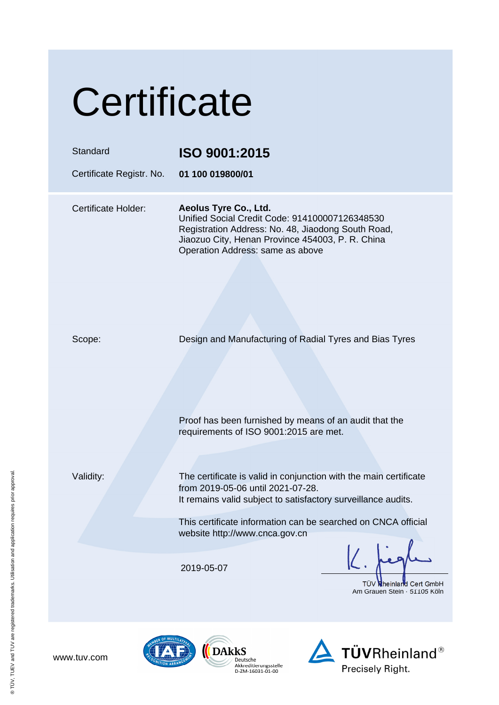| Certificate                          |                                                                                                                                                                                                                       |  |
|--------------------------------------|-----------------------------------------------------------------------------------------------------------------------------------------------------------------------------------------------------------------------|--|
| Standard<br>Certificate Registr. No. | ISO 9001:2015<br>01 100 019800/01                                                                                                                                                                                     |  |
| Certificate Holder:                  | Aeolus Tyre Co., Ltd.<br>Unified Social Credit Code: 914100007126348530<br>Registration Address: No. 48, Jiaodong South Road,<br>Jiaozuo City, Henan Province 454003, P. R. China<br>Operation Address: same as above |  |
| Scope:                               | Design and Manufacturing of Radial Tyres and Bias Tyres<br>Proof has been furnished by means of an audit that the<br>requirements of ISO 9001:2015 are met.                                                           |  |
| Validity:                            | The certificate is valid in conjunction with the main certificate<br>from 2019-05-06 until 2021-07-28.<br>It remains valid subject to satisfactory surveillance audits.                                               |  |
|                                      | This certificate information can be searched on CNCA official<br>website http://www.cnca.gov.cn                                                                                                                       |  |
|                                      | 2019-05-07<br><b>TUV Rheinland Cert GmbH</b><br>Am Grauen Stein 51105 Köln                                                                                                                                            |  |

www.tuv.com



 $\bigotimes_{\substack{\text{Deutsche}\\ \text{Akkediterungsstelle}\\ \text{D-ZM-16031-01-00}}}\overline{\text{DARKed}}$ 

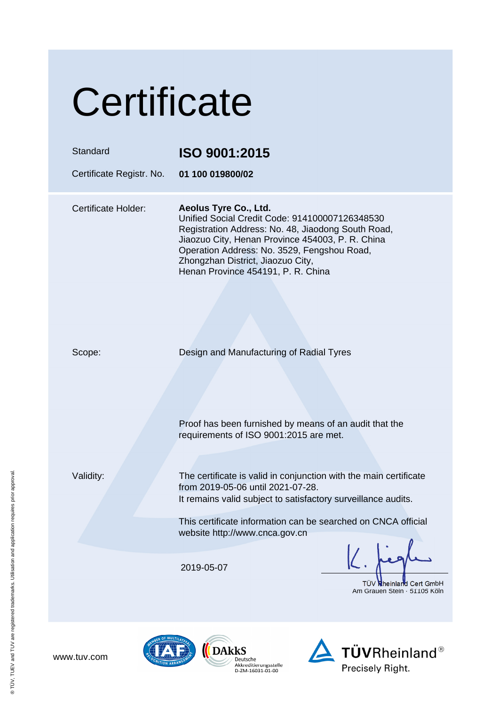| Certificate                          |                                                                                                                                                                                                                                                                                                                      |
|--------------------------------------|----------------------------------------------------------------------------------------------------------------------------------------------------------------------------------------------------------------------------------------------------------------------------------------------------------------------|
| Standard<br>Certificate Registr. No. | ISO 9001:2015<br>01 100 019800/02                                                                                                                                                                                                                                                                                    |
| Certificate Holder:                  | Aeolus Tyre Co., Ltd.<br>Unified Social Credit Code: 914100007126348530<br>Registration Address: No. 48, Jiaodong South Road,<br>Jiaozuo City, Henan Province 454003, P. R. China<br>Operation Address: No. 3529, Fengshou Road,<br>Zhongzhan District, Jiaozuo City,<br>Henan Province 454191, P. R. China          |
| Scope:                               | Design and Manufacturing of Radial Tyres<br>Proof has been furnished by means of an audit that the                                                                                                                                                                                                                   |
| Validity:                            | requirements of ISO 9001:2015 are met.<br>The certificate is valid in conjunction with the main certificate<br>from 2019-05-06 until 2021-07-28.<br>It remains valid subject to satisfactory surveillance audits.<br>This certificate information can be searched on CNCA official<br>website http://www.cnca.gov.cn |
|                                      | 2019-05-07<br><b>Rheinland Cert GmbH</b><br>Am Grauen Stein 51105 Köln                                                                                                                                                                                                                                               |





**TÜVRheinland®**  $\Delta$ Precisely Right.